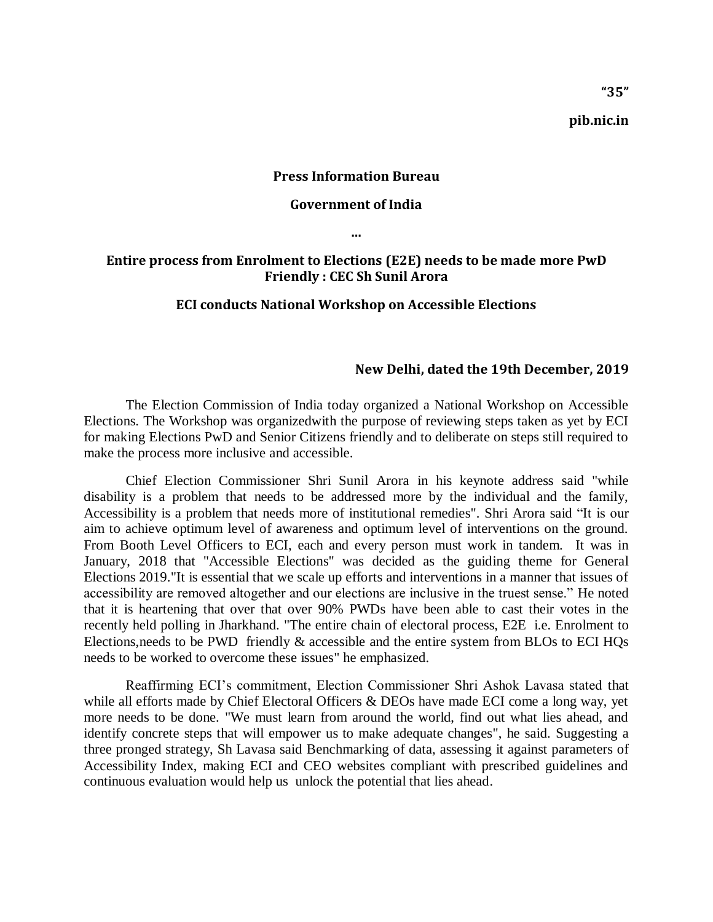**pib.nic.in**

### **Press Information Bureau**

### **Government of India**

**...**

# **Entire process from Enrolment to Elections (E2E) needs to be made more PwD Friendly : CEC Sh Sunil Arora**

#### **ECI conducts National Workshop on Accessible Elections**

#### **New Delhi, dated the 19th December, 2019**

The Election Commission of India today organized a National Workshop on Accessible Elections. The Workshop was organizedwith the purpose of reviewing steps taken as yet by ECI for making Elections PwD and Senior Citizens friendly and to deliberate on steps still required to make the process more inclusive and accessible.

Chief Election Commissioner Shri Sunil Arora in his keynote address said "while disability is a problem that needs to be addressed more by the individual and the family, Accessibility is a problem that needs more of institutional remedies". Shri Arora said "It is our aim to achieve optimum level of awareness and optimum level of interventions on the ground. From Booth Level Officers to ECI, each and every person must work in tandem. It was in January, 2018 that "Accessible Elections" was decided as the guiding theme for General Elections 2019."It is essential that we scale up efforts and interventions in a manner that issues of accessibility are removed altogether and our elections are inclusive in the truest sense." He noted that it is heartening that over that over 90% PWDs have been able to cast their votes in the recently held polling in Jharkhand. "The entire chain of electoral process, E2E i.e. Enrolment to Elections,needs to be PWD friendly & accessible and the entire system from BLOs to ECI HQs needs to be worked to overcome these issues" he emphasized.

Reaffirming ECI's commitment, Election Commissioner Shri Ashok Lavasa stated that while all efforts made by Chief Electoral Officers & DEOs have made ECI come a long way, yet more needs to be done. "We must learn from around the world, find out what lies ahead, and identify concrete steps that will empower us to make adequate changes", he said. Suggesting a three pronged strategy, Sh Lavasa said Benchmarking of data, assessing it against parameters of Accessibility Index, making ECI and CEO websites compliant with prescribed guidelines and continuous evaluation would help us unlock the potential that lies ahead.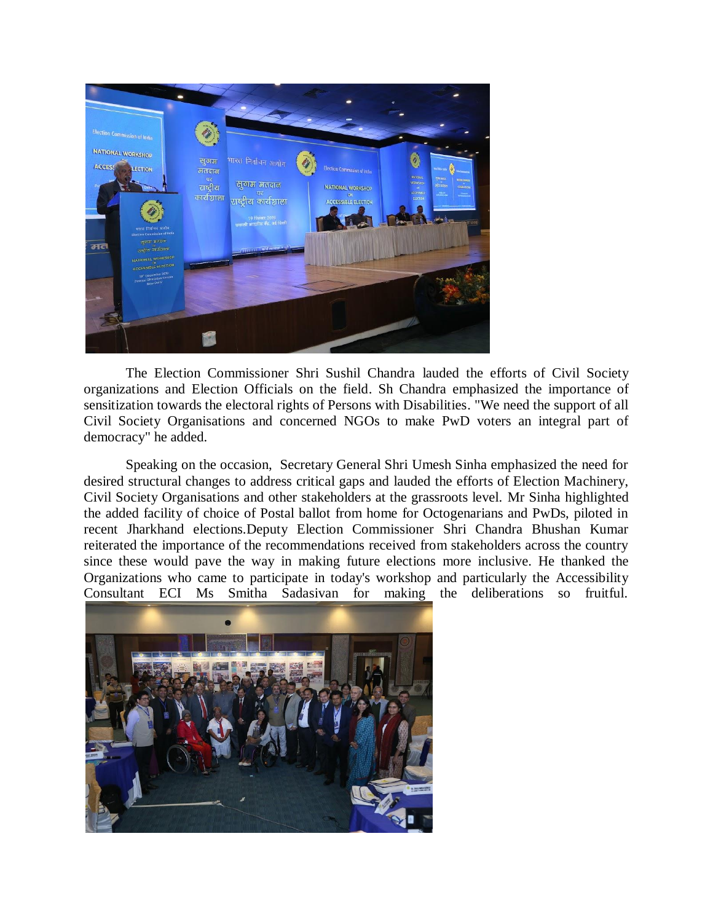

The Election Commissioner Shri Sushil Chandra lauded the efforts of Civil Society organizations and Election Officials on the field. Sh Chandra emphasized the importance of sensitization towards the electoral rights of Persons with Disabilities. "We need the support of all Civil Society Organisations and concerned NGOs to make PwD voters an integral part of democracy" he added.

Speaking on the occasion, Secretary General Shri Umesh Sinha emphasized the need for desired structural changes to address critical gaps and lauded the efforts of Election Machinery, Civil Society Organisations and other stakeholders at the grassroots level. Mr Sinha highlighted the added facility of choice of Postal ballot from home for Octogenarians and PwDs, piloted in recent Jharkhand elections.Deputy Election Commissioner Shri Chandra Bhushan Kumar reiterated the importance of the recommendations received from stakeholders across the country since these would pave the way in making future elections more inclusive. He thanked the Organizations who came to participate in today's workshop and particularly the Accessibility Consultant ECI Ms Smitha Sadasivan for making the deliberations so fruitful.